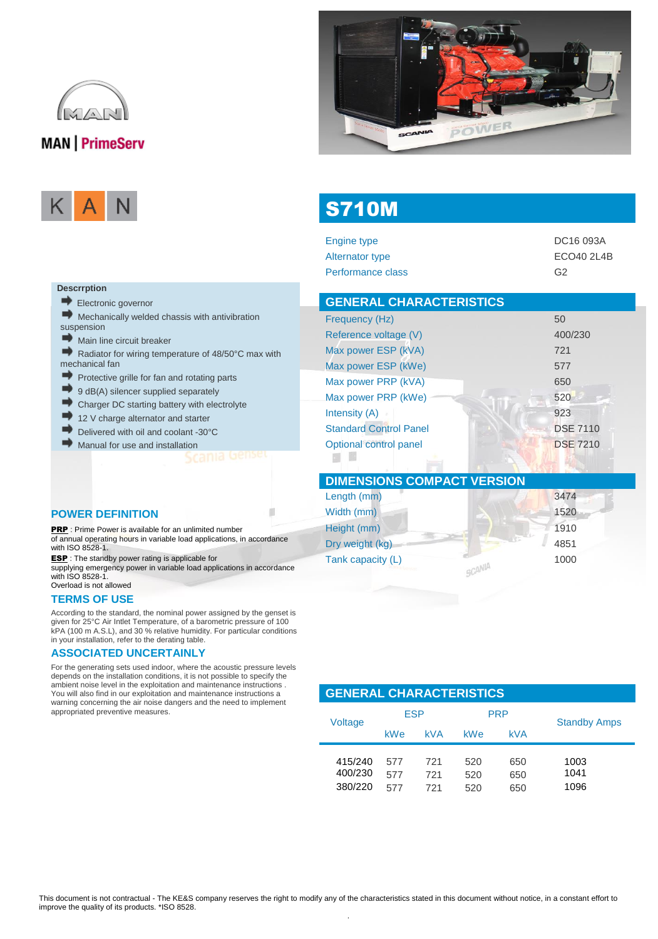

## **MAN** | PrimeServ



**Descrrption**

suspension

 $\Rightarrow$ 

 $\Rightarrow$ 

 $\Rightarrow$  $\Rightarrow$ 

mechanical fan

Electronic governor

Main line circuit breaker



# S710M

| DC16 093A      |
|----------------|
| ECO40 2L4B     |
| G <sub>2</sub> |
|                |

| <b>GENERAL CHARACTERISTICS</b> |                 |
|--------------------------------|-----------------|
| Frequency (Hz)                 | 50              |
| Reference voltage (V)          | 400/230         |
| Max power ESP (kVA)            | 721             |
| Max power ESP (kWe)            | 577             |
| Max power PRP (kVA)            | 650             |
| Max power PRP (kWe)            | 520             |
| Intensity (A)                  | 923             |
| <b>Standard Control Panel</b>  | <b>DSE 7110</b> |
| Optional control panel         | <b>DSE 7210</b> |

| <b>DIMENSIONS COMPACT VERSION</b> |      |
|-----------------------------------|------|
| Length (mm)                       | 3474 |
| Width (mm)                        | 1520 |
| Height (mm)                       | 1910 |
| Dry weight (kg)                   | 4851 |
| Tank capacity (L)                 | 1000 |

#### **POWER DEFINITION**

PRP : Prime Power is available for an unlimited number of annual operating hours in variable load applications, in accordance with ISO 8528-1. ESP : The standby power rating is applicable for

Mechanically welded chassis with antivibration

Protective grille for fan and rotating parts 9 dB(A) silencer supplied separately Charger DC starting battery with electrolyte

12 V charge alternator and starter Delivered with oil and coolant -30°C Manual for use and installation

Radiator for wiring temperature of 48/50°C max with

supplying emergency power in variable load applications in accordance with ISO 8528-1. Overload is not allowed

#### **TERMS OF USE**

According to the standard, the nominal power assigned by the genset is given for 25°C Air Intlet Temperature, of a barometric pressure of 100 kPA (100 m A.S.L), and 30 % relative humidity. For particular conditions in your installation, refer to the derating table.

#### **ASSOCIATED UNCERTAINLY**

For the generating sets used indoor, where the acoustic pressure levels depends on the installation conditions, it is not possible to specify the ambient noise level in the exploitation and maintenance instructions . You will also find in our exploitation and maintenance instructions a warning concerning the air noise dangers and the need to implement appropriated preventive measures.

#### **GENERAL CHARACTERISTICS**  ESP PPP

| Voltage                       | ◡                 |                   | .                 |                   | <b>Standby Amps</b>  |
|-------------------------------|-------------------|-------------------|-------------------|-------------------|----------------------|
|                               | <b>kWe</b>        | <b>kVA</b>        | <b>kWe</b>        | <b>kVA</b>        |                      |
| 415/240<br>400/230<br>380/220 | 577<br>577<br>577 | 721<br>721<br>721 | 520<br>520<br>520 | 650<br>650<br>650 | 1003<br>1041<br>1096 |

.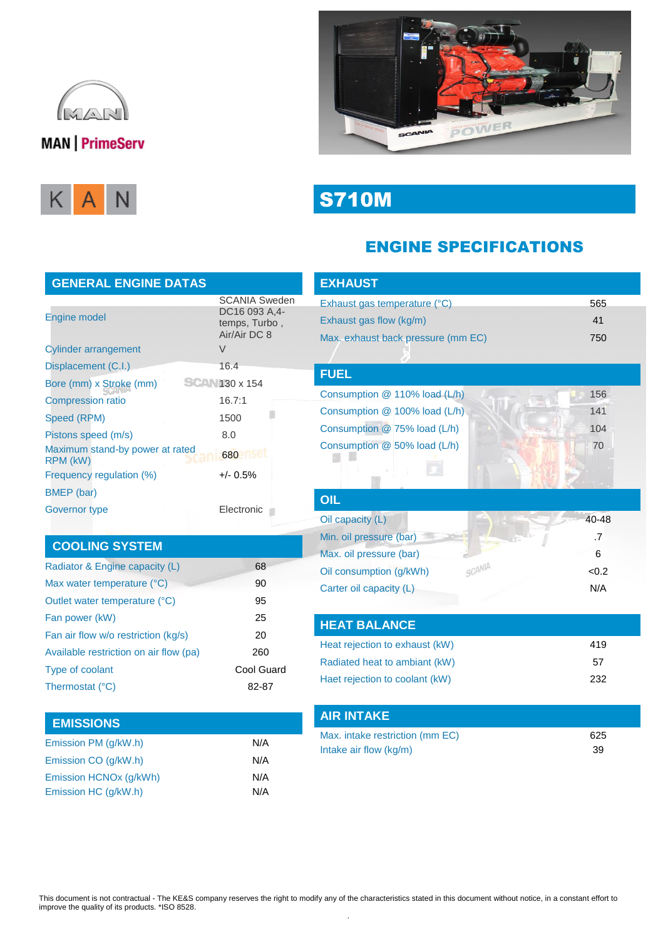

# **MAN** PrimeServ





S710M

# ENGINE SPECIFICATIONS

| <b>GENERAL ENGINE DATAS</b>                 |                                                                        |  |  |
|---------------------------------------------|------------------------------------------------------------------------|--|--|
| <b>Engine model</b>                         | <b>SCANIA Sweden</b><br>DC16 093 A.4-<br>temps, Turbo,<br>Air/Air DC 8 |  |  |
| <b>Cylinder arrangement</b>                 | V                                                                      |  |  |
| Displacement (C.I.)                         | 16.4                                                                   |  |  |
| Bore (mm) x Stroke (mm)                     | $130 \times 154$                                                       |  |  |
| <b>Compression ratio</b>                    | 16.7:1                                                                 |  |  |
| Speed (RPM)                                 | 1500                                                                   |  |  |
| Pistons speed (m/s)                         | 8.0                                                                    |  |  |
| Maximum stand-by power at rated<br>RPM (kW) | 680                                                                    |  |  |
| Frequency regulation (%)                    | $+/- 0.5%$                                                             |  |  |
| BMEP (bar)                                  |                                                                        |  |  |
| Governor type                               | Electronic                                                             |  |  |

### **COOLING SYSTEM**

| Radiator & Engine capacity (L)         | 68         |
|----------------------------------------|------------|
| Max water temperature (°C)             | 90         |
| Outlet water temperature (°C)          | 95         |
| Fan power (kW)                         | 25         |
| Fan air flow w/o restriction (kg/s)    | 20         |
| Available restriction on air flow (pa) | 260        |
| <b>Type of coolant</b>                 | Cool Guard |
| Thermostat (°C)                        | 82-87      |

## **EMISSIONS** Emission PM (g/kW.h) N/A Emission CO (g/kW.h) N/A Emission HCNOx (g/kWh) N/A Emission HC (g/kW.h) N/A

| <b>EXHAUST</b>                     |       |
|------------------------------------|-------|
| Exhaust gas temperature (°C)       | 565   |
| Exhaust gas flow (kg/m)            | 41    |
| Max. exhaust back pressure (mm EC) | 750   |
|                                    |       |
| <b>FUEL</b>                        |       |
| Consumption @ 110% load (L/h)      | 156   |
| Consumption @ 100% load (L/h)      | 141   |
| Consumption @ 75% load (L/h)       | 104   |
| Consumption @ 50% load (L/h)       | 70    |
|                                    |       |
|                                    |       |
| OIL                                |       |
| Oil capacity (L)                   | 40-48 |
| Min. oil pressure (bar)            | .7    |
| Max. oil pressure (bar)            | 6     |
| SCANIA<br>Oil consumption (g/kWh)  | < 0.2 |
| Carter oil capacity (L)            | N/A   |
|                                    |       |
| <b>HEAT BALANCE</b>                |       |
| Heat rejection to exhaust (kW)     | 419   |
| Radiated heat to ambiant (kW)      | 57    |
| Haet rejection to coolant (kW)     | 232   |
|                                    |       |
| <b>AIR INTAKE</b>                  |       |
| Max. intake restriction (mm EC)    | 625   |
| Intake air flow (kg/m)             | 39    |
|                                    |       |

#### This document is not contractual - The KE&S company reserves the right to modify any of the characteristics stated in this document without notice, in a constant effort to improve the quality of its products. \*ISO 8528. .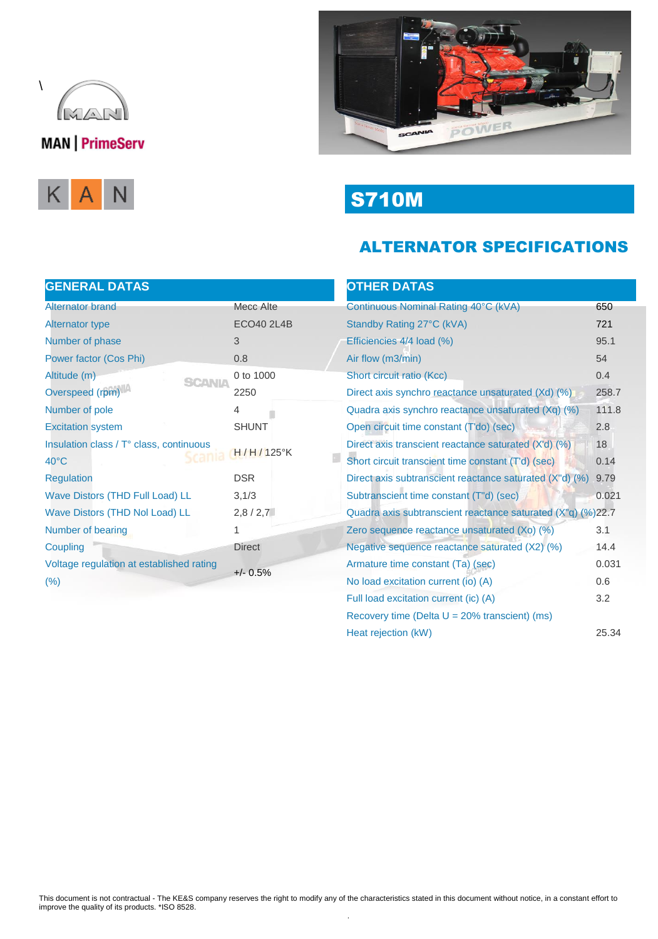

# **MAN** PrimeServ





S710M

# ALTERNATOR SPECIFICATIONS

#### **OTHER DATAS**

圓

| <b>GENERAL DATAS</b>                                    |                   |  |
|---------------------------------------------------------|-------------------|--|
| <b>Alternator brand</b>                                 | Mecc Alte         |  |
| <b>Alternator type</b>                                  | <b>ECO40 2L4B</b> |  |
| Number of phase                                         | 3                 |  |
| Power factor (Cos Phi)                                  | 0.8               |  |
| Altitude (m)<br><b>SCANIA</b>                           | 0 to 1000         |  |
| Overspeed (rpm)                                         | 2250              |  |
| Number of pole                                          | 4                 |  |
| <b>Excitation system</b>                                | <b>SHUNT</b>      |  |
| Insulation class / T° class, continuous<br>$H/H/125$ °K |                   |  |
| $40^{\circ}$ C                                          |                   |  |
| <b>Regulation</b>                                       | <b>DSR</b>        |  |
| <b>Wave Distors (THD Full Load) LL</b>                  | 3,1/3             |  |
| Wave Distors (THD Nol Load) LL                          | 2,8/2,7           |  |
| Number of bearing                                       | 1                 |  |
| Coupling                                                | <b>Direct</b>     |  |
| Voltage regulation at established rating                | $+/- 0.5%$        |  |
| (%)                                                     |                   |  |
|                                                         |                   |  |

| Continuous Nominal Rating 40°C (kVA)                        | 650   |
|-------------------------------------------------------------|-------|
| Standby Rating 27°C (kVA)                                   | 721   |
| Efficiencies 4/4 load (%)                                   | 95.1  |
| Air flow (m3/min)                                           | 54    |
| Short circuit ratio (Kcc)                                   | 0.4   |
| Direct axis synchro reactance unsaturated (Xd) (%)          | 258.7 |
| Quadra axis synchro reactance unsaturated (Xq) (%)          | 111.8 |
| Open circuit time constant (T'do) (sec)                     | 2.8   |
| Direct axis transcient reactance saturated (X'd) (%)        | 18    |
| Short circuit transcient time constant (T'd) (sec)          | 0.14  |
| Direct axis subtranscient reactance saturated (X"d) (%)     | 9.79  |
| Subtranscient time constant (T"d) (sec)                     | 0.021 |
| Quadra axis subtranscient reactance saturated (X"q) (%)22.7 |       |
| Zero sequence reactance unsaturated (Xo) (%)                | 3.1   |
| Negative sequence reactance saturated (X2) (%)              | 14.4  |
| Armature time constant (Ta) (sec)                           | 0.031 |
| No load excitation current (io) (A)                         | 0.6   |
| Full load excitation current (ic) (A)                       | 3.2   |
| Recovery time (Delta $U = 20\%$ transcient) (ms)            |       |
| Heat rejection (kW)                                         | 25.34 |
|                                                             |       |